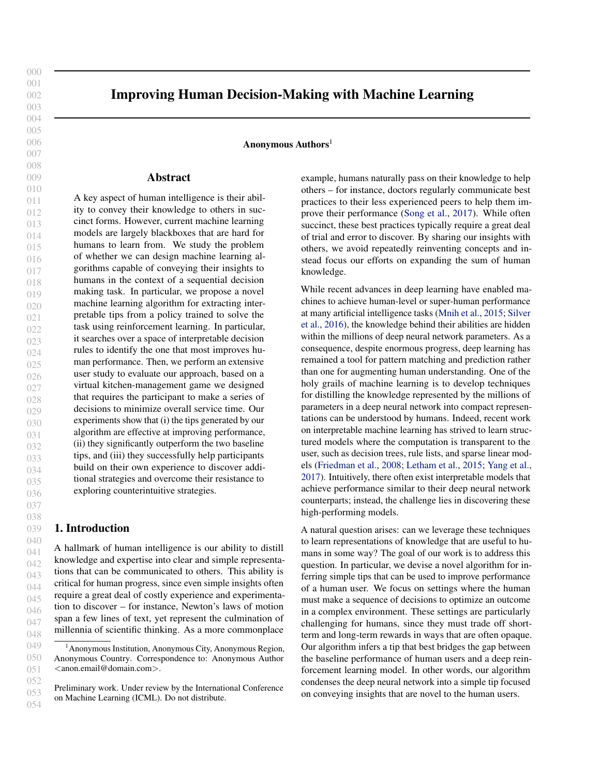009 010

000

# Improving Human Decision-Making with Machine Learning

Anonymous  $\mathrm{Authors}^1$ 

# Abstract

011 012 013 014 015 016 017 018 019 020 021 022 023 024 025 026 027 028 029 030 031 032 033 034 035 036 A key aspect of human intelligence is their ability to convey their knowledge to others in succinct forms. However, current machine learning models are largely blackboxes that are hard for humans to learn from. We study the problem of whether we can design machine learning algorithms capable of conveying their insights to humans in the context of a sequential decision making task. In particular, we propose a novel machine learning algorithm for extracting interpretable tips from a policy trained to solve the task using reinforcement learning. In particular, it searches over a space of interpretable decision rules to identify the one that most improves human performance. Then, we perform an extensive user study to evaluate our approach, based on a virtual kitchen-management game we designed that requires the participant to make a series of decisions to minimize overall service time. Our experiments show that (i) the tips generated by our algorithm are effective at improving performance, (ii) they significantly outperform the two baseline tips, and (iii) they successfully help participants build on their own experience to discover additional strategies and overcome their resistance to exploring counterintuitive strategies.

# 1. Introduction

A hallmark of human intelligence is our ability to distill knowledge and expertise into clear and simple representations that can be communicated to others. This ability is critical for human progress, since even simple insights often require a great deal of costly experience and experimentation to discover – for instance, Newton's laws of motion span a few lines of text, yet represent the culmination of millennia of scientific thinking. As a more commonplace

example, humans naturally pass on their knowledge to help others – for instance, doctors regularly communicate best practices to their less experienced peers to help them improve their performance (Song et al., 2017). While often succinct, these best practices typically require a great deal of trial and error to discover. By sharing our insights with others, we avoid repeatedly reinventing concepts and instead focus our efforts on expanding the sum of human knowledge.

While recent advances in deep learning have enabled machines to achieve human-level or super-human performance at many artificial intelligence tasks (Mnih et al., 2015; Silver et al., 2016), the knowledge behind their abilities are hidden within the millions of deep neural network parameters. As a consequence, despite enormous progress, deep learning has remained a tool for pattern matching and prediction rather than one for augmenting human understanding. One of the holy grails of machine learning is to develop techniques for distilling the knowledge represented by the millions of parameters in a deep neural network into compact representations can be understood by humans. Indeed, recent work on interpretable machine learning has strived to learn structured models where the computation is transparent to the user, such as decision trees, rule lists, and sparse linear models (Friedman et al., 2008; Letham et al., 2015; Yang et al., 2017). Intuitively, there often exist interpretable models that achieve performance similar to their deep neural network counterparts; instead, the challenge lies in discovering these high-performing models.

A natural question arises: can we leverage these techniques to learn representations of knowledge that are useful to humans in some way? The goal of our work is to address this question. In particular, we devise a novel algorithm for inferring simple tips that can be used to improve performance of a human user. We focus on settings where the human must make a sequence of decisions to optimize an outcome in a complex environment. These settings are particularly challenging for humans, since they must trade off shortterm and long-term rewards in ways that are often opaque. Our algorithm infers a tip that best bridges the gap between the baseline performance of human users and a deep reinforcement learning model. In other words, our algorithm condenses the deep neural network into a simple tip focused on conveying insights that are novel to the human users.

053 054

<sup>&</sup>lt;sup>1</sup> Anonymous Institution, Anonymous City, Anonymous Region, Anonymous Country. Correspondence to: Anonymous Author <anon.email@domain.com>.

Preliminary work. Under review by the International Conference on Machine Learning (ICML). Do not distribute.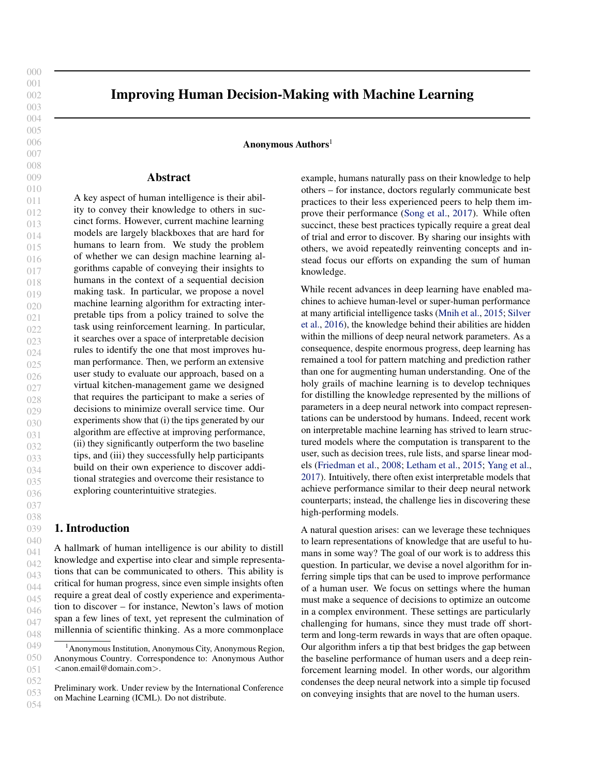055 056 057 058 059 060 061 062 063 064 We perform an extensive user study based on a scenario where human users are asked to play a game where they manage a virtual kitchen; an illustration of this task is shown in Figure [1.](#page-2-0) In this game, the users must assign subtasks to virtual workers with varying capabilities in a way that optimizes the time it takes to complete a set of food orders. This game is challenging because the human users must make tradeoffs such as deciding whether to greedily assign a worker to a subtask that they are slow to complete, or leave them idle in anticipation of a more suitable subtask.

065 066 067 068 069 070 071 072 073 074 075 We demonstrate that our algorithm can generate novel insights that enable human users to substantially improve their performance compared to counterparts that are not shown the tip. Interestingly, the users do not merely adjust their actions by blindly following the tip. Instead, as they gain experience with the game, they come to understand the significance of the tip and improve their performance in ways beyond the surface-level meaning of the tip. Our findings suggest that our algorithm infers interpretable and useful insights about the underlying task to the human users.

076 077 078 079 080 081 082 083 084 085 086 087 088 089 090 091 092 093 094 095 Related work. There has been a great deal of recent interest in interpretable machine learning (Caruana et al., 2015; Letham et al., 2015; Ribeiro et al., 2016; Doshi-Velez & Kim, 2017). Most of this work has focused on whether a human expert can understand why the model is making a certain prediction, in tasks such as patient diagnosis (Caruana et al., 2015) or image and text classification (Ribeiro et al., 2016). There has also been recent work seeking to understand how humans interpret predictions of machine learning models (Narayanan et al., 2018), as well as use measures of human understanding to measure and improve interpretability (Lage et al., 2018). Finally, there has been recent work on interpretable reinforcement learning (Verma et al., 2018), which can learn policies that are easier to verify (Bastani et al., 2018), generalize better (Inala et al., 2021), or satisfy combinatorial constraints (Inala et al., 2019). In contrast to prior work, our goal is to understand whether machine learning algorithms can communicate insights to improve human performance at complex sequential decision-making tasks.

# 2. Inferring Tips via Interpretable Reinforcement Learning

100 101 102 103 104 105 106 107 108 109 Consider a human making a sequence of decisions to achieve some desired outcome. We study settings where current decisions affect future outcomes—for instance, if the human decides to consume some resources at the current time step, they can no longer use these resources in the future. These settings are particularly challenging for decision-making due to the need to reason about how current actions affect future decisions, making them ideal targets for leveraging tips to improve human performance. In particular, our goal is to provide insights to the human that enable them to improve their performance.

We begin by formalizing the tip inference problem. We model our setting as the human acting to maximize reward in a Markov Decision Process (MDP)  $\mathcal{M} = (S, A, R, P)$ over a finite time horizon  $T$ . Here,  $S$  is the state space,  $A$  is the action space,  $R$  is the reward function, and  $P$  is the transition function. Intuitively, a state  $s \, 2 \, S$  captures the current configuration of the system (e.g., available resources), and an action  $a \, 2 \, A$  is a decision that the human can make (e.g., consume some resources to produce an item). More precisely, we represent the human as a decision-making policy

 $H$  mapping states to (possibly random) actions. At each time step  $t \geq \sqrt{\frac{\pi}{g}}$ ;  $\therefore$ :::;  $Tg$ , the human observes the current state  $S_t$  and selects an action  $a_t$  to take according to the probability distribution  $p(a_t | s_t) = H(s_t; a_t)$ . Then, they receive reward  $r_t = R(s/a)$ , and the system transitions to the next state  $s_{t+1}$ , which is a random variable with probability distribution  $p(s_{t+1} \mid s_t; a_t) = P(s_t; a_t; s_{t+1})$ , after which the process is repeated until  $t = T$ . A sequence of stateaction-reward triples sampled according to this process is called a *rollout*, denoted  $= ((s_1; a_1; r_1); \dots; (s_T; a_T; r_T)).$ The human's goal is to act according to a policy  $H$  that maximizes the cumulative expected reward  $J($   $H)$ , where

$$
J(\ )=\mathbb{E}_{D^{(1)}}\sum_{t=1}^{\mathcal{F}}t_{r_{t}}^{\pi}
$$

and where  $D^{(-)}$  is the distribution of rollouts induced by using policy.

Now, given the MDP  $\mathcal M$  along with the human policy  $H$ , our goal is to learn a tip that most improves the cumulative expected reward. Formally, a tip indicates that in certain states s, the human should use action (s)  $2 \text{ A}$  instead of their own policy  $H$ . For simplicity, we assume that the human always follows the tip; while this assumption does not always hold in practice, we find that it works well as long as the human can understand the tip along with its rationale. Thus, we consider tips in the form of a single, interpretable rule:

$$
(s) = if (s) then take action a;
$$

where  $a \neq 2$  A is an action and (s)  $\neq 2$  ftrue; falseg is a logical predicate over states  $s \, 2 \, S$ —e.g., it might say that a sufficient quantity of a certain resource is currently available. Intuitively, a tip  $= ( \n\times a)$  says that if the condition is satisfied, then the human should use action  $a$ ; otherwise, they should use their default action  $H(s)$ . Assuming the human follows this tip exactly, then the resulting policy they use is  $H$ , where

$$
( ) (s; a) = \begin{cases} (a = a^{0}) & \text{if } (s) \\ (s; a) & \text{otherwise.} \end{cases}
$$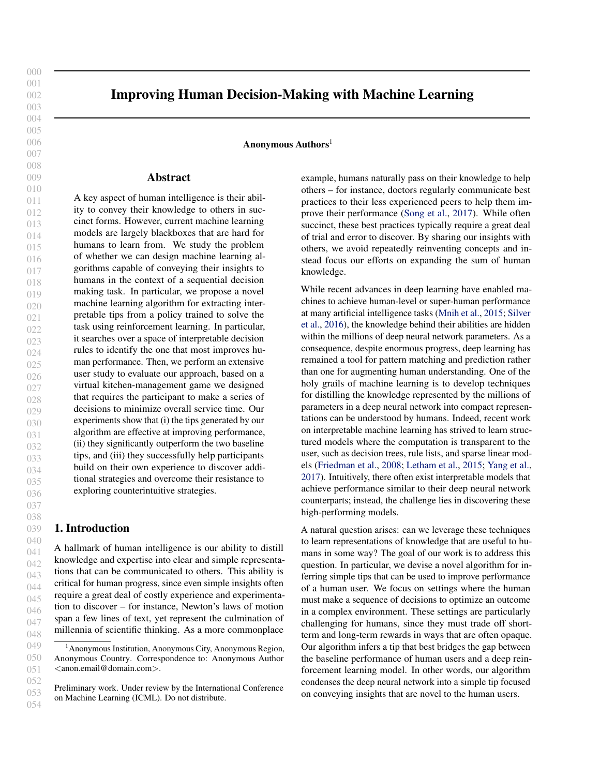Improving Human Decision-Making with Machine Learning

<span id="page-2-0"></span>

Figure 1: Overview of behavioral study: virtual kitchen management.

Then, our goal is to compute the tip that most improves the human's performance—i.e.,

 $=$  arg max  $J(H)$ : (1)

The tip inference problem is to compute .

Next, we describe our algorithm for solving this problem. To guide our algorithm, we first compute the optimal Qfunction  $Q$  by (approximately) solving the Bellman equations

$$
Q (s; a) = R(s) + \mathbb{E}_{a (s; ) : s^{0} P(s; a; )} [Q (s; a)]
$$

using Q-learning (Watkins & Dayan, 1992), where we parameterize Q using a neural network with a single hidden layer. Then, we can rewrite the objective  $J( \begin{bmatrix} H \\ H \end{bmatrix})$  in (1) as follows (Bastani et al., 2018):

$$
J\left(\begin{array}{cc} H \\ H \end{array}\right) = E \begin{array}{cc} & \mathcal{F} \\ & \mathcal{N} \\ & \mathcal{O} \left( S_t / a_t \right) \end{array}.
$$

Since we do not have access to samples  $D^{(+)}$ . we use the approximation using  $D<sup>(H)</sup>$  $D^{(+)}$ . which is good as long as the tip does not drastically change the human's decisions. Furthermore, we approximate the expectation in our objective using rollouts  $1$ ; :::; k  $D^{(+)}$  from the human policy  $H$ , where  $i = ((s_{i,1}, a_{i,1}, r_{i,1}), \dots, (s_{i,T}, a_{i,T}, r_{i,T}))$ . Thus, our algorithm computes the tip

161  
\n162  
\n163  
\n164  
\n
$$
\begin{array}{rcl}\n & \times & \times & \times \\
163 & & k \\
164 & & l=1\n\end{array} \nQ (s_{i, t} : (a_{i, t} ) (s_{i, t})). \quad (2)
$$

where for a given tip = (
$$
\overrightarrow{a}
$$
) and action  $\overrightarrow{a}^0$ , we have  
\n( $\overrightarrow{a}$ ) (s) =  $\begin{pmatrix} a & \text{if } (s) = 1 \\ a^0 & \text{otherwise.} \end{pmatrix}$ 

We optimize (2) by enumerating through candidate tips, evaluating the objective, and selecting the tip  $\land$  with the highest objective value.

# 3. Case Study: Kitchen-Management Game

We have developed a sequential decision-making task in the form of a virtual kitchen-management game that can be played by individual human users. In this game, the user takes the role of a manager of several virtual workers (namely, chef, sous-chef, and server) producing food orders (all burgers) in a virtual kitchen. Each order itself consists of a fixed set of subtasks (namely, chop meat, cook burger, or plate burger). The game consists of a fixed number of steps; on each step, the user must decide which (if any) subtask to assign to an idle worker. The worker becomes busy for a number of subsequent time steps, after which the subtask is completed and the worker becomes idle again. An order is completed once all its subtasks are completed, and the game is complete once all orders are completed. The user's goal is to complete the game in as few time steps as possible.

There are two key aspects of the game that make it challenging for the human to perform well. First, the subtasks have dependencies—i.e., some subtasks of an order can only be assigned to a worker once other subtasks of the same order have already been completed. In particular, "cook burger" can only be assigned once "chop meat" is completed, and "plate burger" can only be assigned once "cook burger" is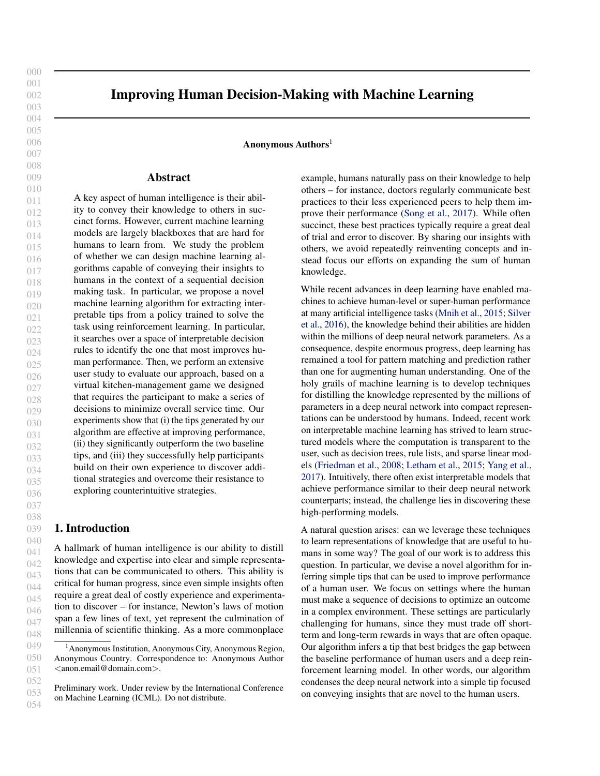165 166 167 168 169 170 171 172 173 174 175 176 177 178 179 180 181 182 183 184 completed. Second, the virtual workers are heterogeneous i.e., different workers take different numbers of time steps to complete different subtasks. In particular, the chef chops and cooks more quickly but plates more slowly than the server, and the sous-chef performs between the chef and server on all subtasks. As a consequence, the user faces the following dilemma. Suppose a worker becomes idle, but there is no available subtask that that worker completes quickly. Then, the user must either assign a suboptimal subtask to that worker, or leave the worker idle until such a subtask to become available. For instance, if the server is idle but all available subtasks are "cook burger", then the user must either assign "cook burger" to the server, or leave the server idle until a "serve burger" task becomes available. Furthermore, participants are not shown the exact number of steps each worker takes to complete each subtask, only the median number of steps taken. The true number of steps for a given worker is only revealed if they assign the subtask to that worker. Thus, the user must experiment to learn this information.

185 186 187 188 189 190 191 192 193 Finally, our experimental design is based on two scenarios of the virtual kitchen, differing in terms of which workers are available. First, in the fully-staffed scenario, the human user has access to all three virtual workers—i.e., the chef, sous-chef, and server. Second, in the understaffed scenario, the user has access to only two virtual workers—in particular, the sous-chef and server. The scenarios are otherwise identical.

## 4. Experiments

194 195

196 197 198 199 200 201 202 203 204 205 206 207 208 209 210 211 212 213 214 We study how humans interpret and follow the tips inferred by our algorithm in pre-registered behavioral experiments involving Amazon Mechanical Turk (AMT) users<sup>1</sup>. We show that our tips significantly improve participant performance compared to the control group, as well as compared to two baselines: (i) a baseline algorithm that naïvely tries to match the optimal policy, and (ii) tips suggested by previous participants. These results demonstrate that despite their simplicity and conciseness, our tips capture strategies that are hard for participants to learn and can significantly improve their performance. In addition, we find evidence that the participants were not blindly following our tips, but combine them with their own experience to improve performance. Finally, we also find evidence that participants build on our tips by discovering additional strategies beyond the ones stated in the tips. We describe our results below; experimental procedures as well as examples of tips and other additional results are provided in the Appendix.

### 4.1. Experimental Methodology

We compare to two baselines and a control group. Our first baseline is a naïve algorithm that, given rollouts  $\hat{D}$  from the optimal policy , computes the frequency  $C(S; a)$  of state-action pairs in  $\hat{D}$ , and then selects

$$
\gamma_{bl} = \arg \max \frac{1}{k} \sum_{i=1}^{k} \sum_{t=1}^{N} C (s_{i, t} / (a_{i, t} - ) (s_{i, t}))
$$
 (3)

Intuitively, this objective ignores the structure of the MDP implicitly encoded in the Q-function, and instead directly tries to imitates the optimal policy. For our second baseline, we show each participant a comprehensive list of candidate tips and ask them to select the one they believe would most improve the performance of future players.

To evaluate a given tip, we have participants play our game, showing them the tip for the entire duration of the game. We have them play a sequence of scenarios (called a *configuration*) to study how their performance evolves over time. There are two configurations. In the normal configuration ( $N = 1/317$  participants), each participant simply plays three rounds of the fully-staffed scenario; in this case, the participant is shown the same tip on all rounds. In the disrupted configuration ( $N = 1/011$  participants), each participant plays two rounds of the fully-staffed scenario and four rounds of the understaffed scenario; in this case, the participant is shown a tip tailored to the scenario on the current round.

The disrupted configuration is designed to show how tips can help participants adapt to novel situations where the optimal strategy substantially changes. In particular, in the fully-staffed scenario, the optimal strategy is not to assign chopping or cooking tasks to the server. In contrast, in the understaffed scenario, this strategy often leaves the server idle; instead, the optimal strategy is to have the server cook twice (with the sous-chef handling the remaining two cooking tasks).

We assess performance by comparing the completion time in the final round; we also examine the fraction of participants that reached the optimal reward (20 steps for fully-staffed and 34 steps for understaffed).

### 4.2. User Performance

Overall, our algorithm was the most successful at improving performance. In the normal configuration, participants shown our tip completed the final round in 22.54 steps on average (optimal is 20 steps), significantly outperforming those in other arms: 23.86 (control group,  $t(329)$  = 4:397,  $p < 0.0001$ , 23.73 (human tip,  $t(312) = 3.628$ ,  $p = 0.0002$ ), and 23.82 (naïve algorithm,  $t(334) = 4.232$ ,  $p < 0.0001$ ). In general, a substantial fraction of participants learned to play the game optimally after three rounds.

218 219

<sup>215</sup> 216 <sup>1</sup>The full pre-registration document for our study is available at <https://aspredicted.org/blind.php?x=8ye5cb>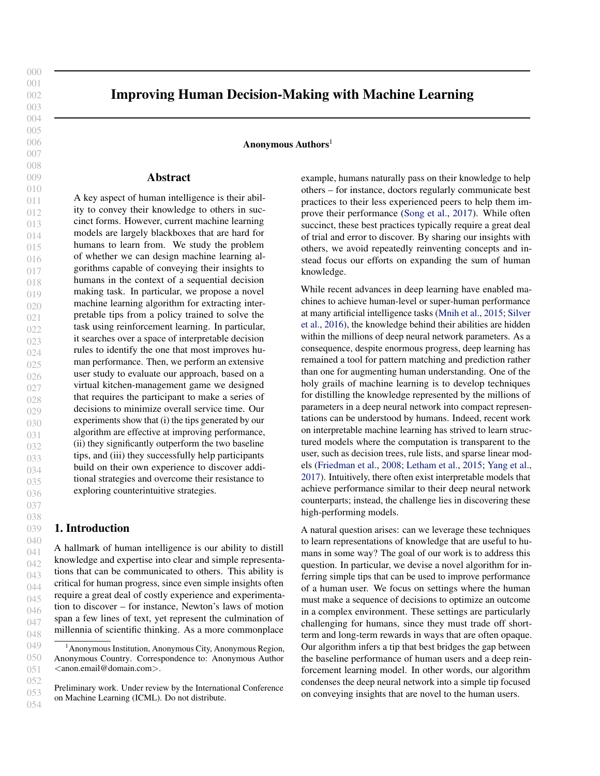| 226        |                                                                                                                                                                                                                                              |                                                               |
|------------|----------------------------------------------------------------------------------------------------------------------------------------------------------------------------------------------------------------------------------------------|---------------------------------------------------------------|
| 227        |                                                                                                                                                                                                                                              |                                                               |
| 228        |                                                                                                                                                                                                                                              |                                                               |
| 229        |                                                                                                                                                                                                                                              |                                                               |
| 230        |                                                                                                                                                                                                                                              |                                                               |
| 231        |                                                                                                                                                                                                                                              |                                                               |
| 232        |                                                                                                                                                                                                                                              |                                                               |
| 233        | ((a)) Normal con guration (optimal: 20 steps)                                                                                                                                                                                                | ((b)) Disrupted con guration (optimal: 34 steps)              |
| 234        |                                                                                                                                                                                                                                              |                                                               |
| 235        | Figure 2: Performance of participants across conditions in the last round.                                                                                                                                                                   |                                                               |
| 236        |                                                                                                                                                                                                                                              |                                                               |
| 237        |                                                                                                                                                                                                                                              |                                                               |
| 238        |                                                                                                                                                                                                                                              |                                                               |
| 239        |                                                                                                                                                                                                                                              |                                                               |
| 240        |                                                                                                                                                                                                                                              |                                                               |
| 241        |                                                                                                                                                                                                                                              |                                                               |
| 242        |                                                                                                                                                                                                                                              |                                                               |
| 243        |                                                                                                                                                                                                                                              |                                                               |
| 244        |                                                                                                                                                                                                                                              |                                                               |
| 245        |                                                                                                                                                                                                                                              |                                                               |
| 246<br>247 |                                                                                                                                                                                                                                              |                                                               |
| 248        |                                                                                                                                                                                                                                              |                                                               |
| 249        |                                                                                                                                                                                                                                              |                                                               |
| 250        |                                                                                                                                                                                                                                              |                                                               |
| 251        | ((a)) Normal con guration                                                                                                                                                                                                                    | ((b)) Disrupted con guration                                  |
| 252        | Figure 3: Performance over time.                                                                                                                                                                                                             |                                                               |
| 253        |                                                                                                                                                                                                                                              |                                                               |
| 254        |                                                                                                                                                                                                                                              |                                                               |
| 255        | 34.59% of those in our algorithm arm achieved optimal perpoorly since it blindly tries to mimic the optimal policy                                                                                                                           |                                                               |
| 256        | formance in the nal round, while 24.44% to 28.90% of the rather than focus on accounting for consequential decisions.                                                                                                                        |                                                               |
| 257        | other groups could do the same. In the disrupted con guraFor instance, in the disrupted con guration, it infers the                                                                                                                          |                                                               |
| 258        | tion, participants shown our tip completed the nal rounds in tip "Sous-chef should plate twice", which actually reduces                                                                                                                      |                                                               |
| 259        | 37.05 steps, again signi cantly outperforming those in otherperformance. The actions suggested by this tip occur at the                                                                                                                      |                                                               |
| 260        | arms: 37.92 (control group(243) = $4:361$ , p < 0:0001),                                                                                                                                                                                     | end of the game, which is too late to signi cantly bene t     |
| 261        | 37.53 (human tipt(246) = $2:52$ , p = 0:0061), and 38.40                                                                                                                                                                                     | overall performance. In contrast, our algorithm focuses on    |
| 262        | (nave algorithm, t(246) = 7:348, $p < 0:0001$ . We                                                                                                                                                                                           | mimicking decisions made by the optimal policy that have      |
| 263        | found similar results for the optimal performance rate. Onlylong-term bene ts. Finally, while the human arm performs                                                                                                                         |                                                               |
| 264        | participants given our tip achieved optimal performancebetter than the control group, it could not reach the perfor-                                                                                                                         |                                                               |
| 265        | 18.79% of participants in our algorithm arm played opti-mance of our tip. The human suggested tips suffer from                                                                                                                               |                                                               |
| 266        | mally, compared to 1.14% of the human tip arm, 0.99% ofhumans' inability to translate their strategy into a concise                                                                                                                          |                                                               |
| 267        | the näve algorithm arm, and 0.51% of the control arm. As and speci c tip and to adapt their strategy to disruption. In                                                                                                                       |                                                               |
| 268        | there were no signi cant differences in performance acrosshe normal con guration, the human suggested tip "Strate-<br>treatments when playing the initial fully-staffed rounds, re-gically leave some workers idle", while capturing the key |                                                               |
| 269        | markably poor performance outside of our algorithm armstrategy, is more shallow and less speci c than other tips,                                                                                                                            |                                                               |
| 270        | re ects the dif culty of managing the understaffed scenario.leaving participants to gure out the actual strategy. In the                                                                                                                     |                                                               |
| 271        |                                                                                                                                                                                                                                              |                                                               |
| 272        | Our results also help us understand the reasons behind the carried con guration, the human suggested tip "Server"                                                                                                                            | 'should cook once" indicates that humans were starting to ad- |
| 273        | success of our tip. Intuitively, the na algorithm performs                                                                                                                                                                                   |                                                               |
| 274        |                                                                                                                                                                                                                                              |                                                               |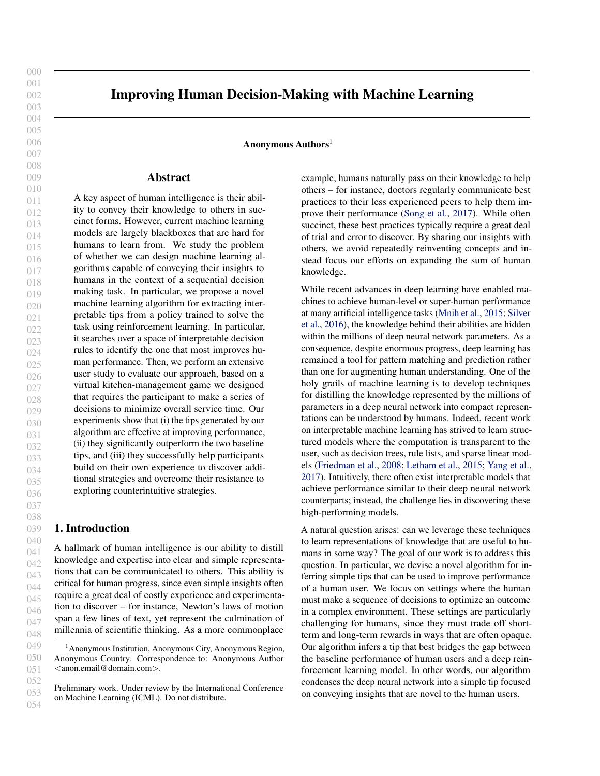Improving Human Decision-Making with Machine Learning ((a)) Algorithm: "Chef shouldn't plate" ((b)) Human: "Leave some idle" ((c)) Baseline: "Chef chops once" Figure 4: Cross-compliance rate across the rounds (normal con guration). ((a)) Algorithm: "Server cooks twice" ((b)) Human: "Server cooks once" ((c)) Baseline: "Sous-chef plates twice" Figure 5: Cross-compliance rate across the rounds (disrupted con-guration). just their strategy but it is not aggressive enough to achievemprove. These results suggest that our tip, while simple the optimal performance—as indicated by our tip ("Server and concise, encodes a complex underlying strategy that should cook twice"). In optimal play, the server actually the participants come to understand when they combine it needs to perform a signi cantly larger share of the subtasksvith their own experience playing the game. In contrast, the than the human tip suggests. Thus, the success of our tip lauman-suggested tip encodes a more shallow strategy that due in part to how it offers speci c advice that helps humansquickly improves performance but does not lead to deeper adapt to disruption and exploring potentially counterintu-insight over time. itive strategies. 4.3. Learning Over Time Next, we study how performance improves across rounds asnd actualized the strategies encoded in the tips we inferred. participants learn better strategies. In particular, tips can b&e study this question in two ways. First, we examine thought of as a substitute for learning, reducing the numbecross-compliangewhich is the compliance of the particiof rounds needed for participants to achieve a certain perfopant to alternative tips other than the one we showed them. mance level. In the normal con guration (Figure 3(a)), our Naïvely, there is no reason to expect participants to crosstip speeds up learning by at least one round compared toomply with an alternative tip (assuming it does not overlap any of the other arms—i.e., the performance of participantswith the tip shown), beyond the cross-compliance of the given our tip on thekth round was similar to the perfor-control group to that tip. Thus, cross-compliance measures mance of participants in alternative arms on the  $(1)$  th round. The improved speed of learning was even more apstrategies beyond what is stated in that tip. Finally, we inparent under the disrupted con guration: participants in thevestigate whether the tips could help participants uncover control group took four rounds to achieve the same levethe structure of the optimal policy beyond the simple rules of performance as those provided with our tip on the rst they stated. round. Interestingly, the human arm initially improves performance comparably to our arm (see Figure 3(b)); however, it levels off towards the end whereas our arm continues toূঁ 4.4. Learning Beyond Tips A key question is understanding how humans internalized how showing one tip can enable participants to discover Cross-compliance. We nd that our tips had high crosscompliance than other tips in both con gurations. For the normal con-guration, we -nd that participants across all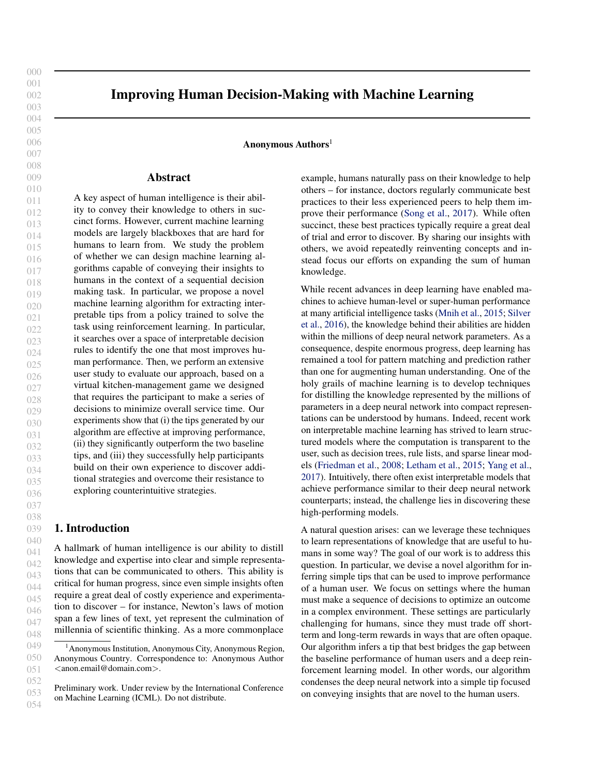((a)) Fully-staffed: "Server shouldn't cook" ((b)) Understaffed: "Server chops once"

Figure 6: Fraction of participants taking optimal action beyond the tips they were shown across the rounds.

347 348 349 350 351 352 353 354 355 356 arms learn not to assign plating to the chef (Figure 4(a)), Furthermore, for the understaffed scenario, the optimal polstrategically leave some virtual workers idle (Figure 4(b)), icy requires balanced assignment of cooking and plating and let the chef chop only once (Figure 4(c)). These tips areasks to both sous-chef and server while assigning most of all consistent with the optimal policy, suggesting that partici-the chopping tasks to sous-chef. A key rule beyond our tip pants generally learn over time to improve their performances thus "Server chops once". We nd that only participants regardless of the treatment. Interestingly, participants in then our arm cross-complied with this auxiliary tip (see Figure algorithm arm have similar or higher cross-compliance com6(b)), again demonstrating that our tip enables participants pared to the other arms. This result suggests that our tipo discover strategies beyond what is stated in the tip. is the most effective as the information it encompasses the

357 information conveyed by the other tips.

5. Conclusion

358 359 360 361 362 363 364 365 366 367 368 369 370 371 For the disrupted con-guration, the cross-compliance of the We have proposed a novel machine-learning algorithm for<br>the human and central arms with our tip remained, at (Fig.We have proposed a novel machine-learning algori the human and control arms with our tip remained at (Fig-We have proposed a nover machine rearring algorithm to<br>the f(a)), We share a similar trand far the moleculum automatically identifying interpretable tips designed to ure  $5(a)$ ). We observe a similar trend for the weed gorithm tip (Figure  $5(c)$ ). These results suggest that participants do not naturally learn this strategy over time, most likely since it is counterintuitive. In particular, simple tips can greatly It is countermiditive. In particular, simple tips can greatly sequential decision-making task. In particular, our results<br>improve human performance by capturing counterintuitive surveyed that our tip can anned un learning strategies that take a great deal of experimentation to dis-uggest that our tip can speed up rearming by up to three<br>cover. Finally, Figure 5(b) above the cross compliance trounds of in-game experience, demonstrating that cover. Finally, Figure 5(b) shows the cross-compliance to the human tip. Interestingly, compliance of the algorithm are numal up. increasingly, compilance of the algonition in the presence of in-game disruption, our results suggest<br>arm to this strategy actually decreases over time; indeed, our tip applies the pertisipants to discover ad the tip suggested by humans is a suboptimal strategy,  $s<sub>2</sub>$ complying with this tip leads to worse performance. improve human decision-making. Our behavioral study demonstrates that the tips inferred using our algorithm can successfully improve human performance at a challenging suggest that our tip can speed up learning by up to three rounds of in-game experience, demonstrating that our tip can signi cantly reduce the cost of learning. Furthermore, that our tip enables the participants to discover additional strategies beyond the given tip. In other words, the bene-t of tips comes not just from having the human follow the

372 373 Uncovering the optimal policy. At a high level, the optimal policy for the fully-staffed scenario has the chef cook discover additional insights. letter of the tip, but from how the human builds on the tip to

374 375 376 377 378 379 380 381 382 383 most of the dishes, has the server plate most of the dishes, mediation and disribution and the server plate mediation are several important directions for future work. First,<br>and never assigns the chef to plate or the server to cook. We cross aliming tipe to individual workers equid observe that participants generally recovered these optimal contains the individual workers could greatly imobserve that participants generally recovered these optimitation the performance of our tip inference algorithm—<br>strategies as they played more rounds. For instance, the fractional was would infer tipe accepted for differe tion of participants in each arm that never assigned cooking. We would line ups personalized for different skill<br>to the earlier agab reund, as if they were following the revels and individual worker characteristics. Next, to the server in each round, as if they were following the to the server in each roand, as if they were following the approach, we only inferred tips at one point in time. In<br>tip "Server shouldn't cook", increases over time and within approach, we only approach sould also be natio approach round the fractions are not statistically different among additional data is acleated which would are help was better and the fractions are not statistically different among additional data is acleated which would edditionid the haddons are not statistically allerchit among additional data is collected, which would enable us to better<br>the arms (see Figure 6(a)). This result suggests that people denoteed the lang term hand to of our learned about this rule by themselves across all arms. personalizing tips to individual workers could greatly imideally, we would infer tips personalized for different skill understand the long-term bene ts of our approach and understanding how it affects learning behavior over a longer

384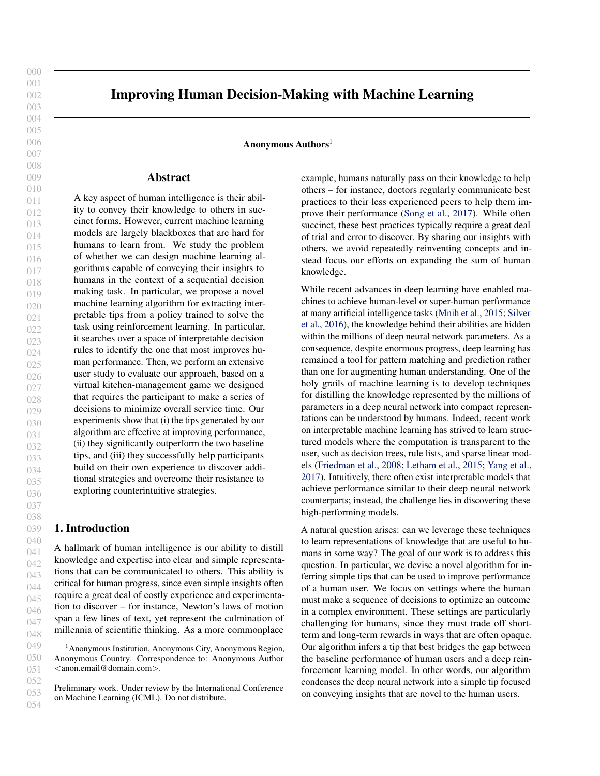| 385        | period of time. Another promising direction is extending our Friedman, J. H., Popescu, B. E., et al. Predictive learning                                                          |                                                                                                                     |
|------------|-----------------------------------------------------------------------------------------------------------------------------------------------------------------------------------|---------------------------------------------------------------------------------------------------------------------|
| 386        | algorithm to a collaborative setting. We have only studied                                                                                                                        | via rule ensemblesAnnals of Applied Statistic 2(3):                                                                 |
| 387        | how individual workers learn to improve performance, but                                                                                                                          | 916-954, 2008.                                                                                                      |
| 388        | a similar approach may help teams improve their collabora-                                                                                                                        |                                                                                                                     |
| 389        | tion and optimize information sharing. Finally, future work                                                                                                                       | Inala, J. P., Bastani, O., Tavares, Z., and Solar-Lezama,<br>A. Synthesizing programmatic policies that inductively |
| 390        | is needed to study how to better convey machine-generated                                                                                                                         | generalize. InInternational Conference on Learning                                                                  |
| 391        | tips to improve compliance. Recent work has documented                                                                                                                            | Representation 2019.                                                                                                |
| 392        | human aversion to advice made by algorithms (Eastwood                                                                                                                             |                                                                                                                     |
| 393        | et al., 2012; Dietvorst et al., 2015) and shown certain con-                                                                                                                      | nala, J. P., Yang, Y., Paulos, J., Pu, Y., Bastani, O., Ku-                                                         |
| 394        | ditions that alleviate such aversion (Dietvorst et al., 2018;                                                                                                                     | mar, V., Rinard, M., and Solar-Lezama, A. Neurosym-                                                                 |
| 395        | Logg et al., 2019). In our study, a fraction of participants                                                                                                                      | bolic transformers for multi-agent communicationXiv                                                                 |
| 396<br>397 | chose to forgo our tip and continue using their own strategy.<br>Finding ways to build trust and encourage compliance is                                                          | preprint arXiv:2101.032382021.                                                                                      |
| 398        |                                                                                                                                                                                   |                                                                                                                     |
| 399        | an important ingredient for ensuring our tips help people age, I., Ross, A. S., Kim, B., Gershman, S. J., and Doshi-<br>improve. Our empirical results suggest that following the |                                                                                                                     |
| 400        | tip depends not just on whether the user trusts the algorithm,                                                                                                                    | Velez, F. Human-in-the-loop interpretability pricarXiv                                                              |
| 401        | but on whether the user understands why the proposed tip is                                                                                                                       | preprint arXiv:1805.1157,12018.                                                                                     |
| 402        | reasonable. This insight brings a novel dimension to humar etham, B., Rudin, C., McCormick, T. H., Madigan, D.,                                                                   |                                                                                                                     |
| 403        | trust in arti cially intelligent systems.                                                                                                                                         | et al. Interpretable classi ers using rules and bayesian                                                            |
| 404        |                                                                                                                                                                                   | analysis: Building a better stroke prediction modelhe                                                               |
| 405        |                                                                                                                                                                                   | Annals of Applied Statistic <sup>9</sup> (3):1350-1371, 2015.                                                       |
| 406        | References                                                                                                                                                                        |                                                                                                                     |
| 407        | Bastani, O., Pu, Y., and Solar-Lezama, A. Veri able rein-Logg, J. M., Minson, J. A., and Moore, D. A. Algorithm ap-                                                               |                                                                                                                     |
| 408        | forcement learning via policy extraction. Advances in                                                                                                                             | preciation: People prefer algorithmic to human judgment.                                                            |
| 409        | neural information processing systems. 2494-2504,                                                                                                                                 | Organizational Behavior and Human Decision Processes                                                                |
| 410        | 2018.                                                                                                                                                                             | 151:90-103, 2019.                                                                                                   |
| 411        |                                                                                                                                                                                   | Mnih, V., Kavukcuoglu, K., Silver, D., Rusu, A. A., Veness,                                                         |
| 412        | Breiman, L. Random forestsMachine learning 45(1):                                                                                                                                 | J., Bellemare, M. G., Graves, A., Riedmiller, M., Fidje-                                                            |
| 413        | 5-32, 2001.                                                                                                                                                                       | land, A. K., Ostrovski, G., et al. Human-level control                                                              |
| 414        | Caruana, R., Lou, Y., Gehrke, J., Koch, P., Sturm, M., and                                                                                                                        | through deep reinforcement learning ture 518(7540):                                                                 |
| 415        | Elhadad, N. Intelligible models for healthcare: Predict-                                                                                                                          | 529-533, 2015.                                                                                                      |
| 416        |                                                                                                                                                                                   |                                                                                                                     |
| 417        | Proceedings of the 21th ACM SIGKDD international con-                                                                                                                             | ing pneumonia risk and hospital 30-day readmission. In Narayanan, M., Chen, E., He, J., Kim, B., Gershman, S., and  |
| 418        | ference on knowledge discovery and data mining.                                                                                                                                   | Doshi-Velez, F. How do humans understand explanations                                                               |
| 419        | 1721-1730, 2015.                                                                                                                                                                  | from machine learning systems? an evaluation of the                                                                 |
| 420<br>421 |                                                                                                                                                                                   | human-interpretability of explanationarXiv preprint                                                                 |
| 422        | Dietvorst, B. J., Simmons, J. P., and Massey, C. Algo-                                                                                                                            | arXiv:1802.006822018.                                                                                               |
| 423        | rithm aversion: People erroneously avoid algorithms after Ribeiro, M. T., Singh, S., and Guestrin, C. " why should                                                                |                                                                                                                     |
| 424        | seeing them errJournal of Experimental Psychology:                                                                                                                                | i trust you?" explaining the predictions of any classi er.                                                          |
| 425        | General 144(1):114, 2015.                                                                                                                                                         | In Proceedings of the 22nd ACM SIGKDD international                                                                 |
| 426        |                                                                                                                                                                                   | conference on knowledge discovery and data mirping                                                                  |
| 427        | Dietvorst, B. J., Simmons, J. P., and Massey, C. Overcoming                                                                                                                       | 1135-1144, 2016.                                                                                                    |
| 428        | algorithm aversion: People will use imperfect algorithms                                                                                                                          |                                                                                                                     |
| 429        | if they can (even slightly) modify themManagement                                                                                                                                 | Silver, D., Huang, A., Maddison, C. J., Guez, A., Sifre, L.,                                                        |
| 430        | Science64(3):1155-1170, 2018.                                                                                                                                                     | Van Den Driessche, G., Schrittwieser, J., Antonoglou, I.,                                                           |
| 431        |                                                                                                                                                                                   | Panneershelvam, V., Lanctot, M., et al. Mastering the                                                               |
| 432        | Doshi-Velez, F. and Kim, B. Towards a rigorous sci-                                                                                                                               | game of go with deep neural networks and tree search.                                                               |
| 433        | ence of interpretable machine learning Xiv preprint                                                                                                                               | nature, 529(7587):484-489, 2016.                                                                                    |
| 434        | arXiv:1702.086082017.                                                                                                                                                             | Song, H., Tucker, A. L., Murrell, K. L., and Vinson, D. R.                                                          |
| 435        | Eastwood, J., Snook, B., and Luther, K. What people                                                                                                                               | Closing the productivity gap: Improving worker produc-                                                              |
| 436        | want from their professionals: Attitudes toward decision-                                                                                                                         | tivity through public relative performance feedback and                                                             |
| 437        | making strategies Journal of Behavioral Decision Mak-                                                                                                                             | validation of best practice Management Scienc64(6):                                                                 |
| 438        | ing, 25(5):458-468, 2012.                                                                                                                                                         | 2628-2649, 2017.                                                                                                    |
| 439        |                                                                                                                                                                                   |                                                                                                                     |
|            |                                                                                                                                                                                   |                                                                                                                     |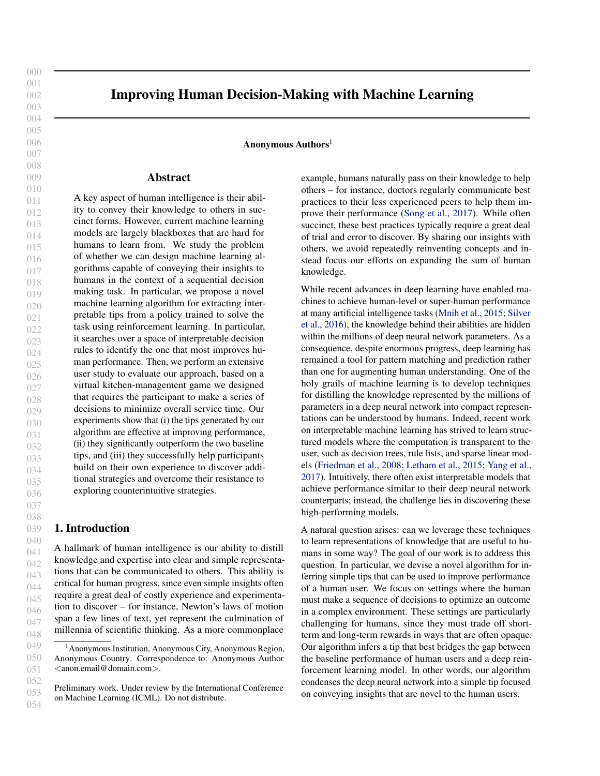| 440<br>441<br>442<br>443        | Sutton, R. S., McAllester, D. A., Singh, S. P., and Mansour,<br>Y. Policy gradient methods for reinforcement learning<br>with function approximation. In Advances in neural in-<br>formation processing systems, pp. 1057-1063, 2000. |
|---------------------------------|---------------------------------------------------------------------------------------------------------------------------------------------------------------------------------------------------------------------------------------|
| 444<br>445<br>446<br>447<br>448 | Verma, A., Murali, V., Singh, R., Kohli, P., and Chaudhuri,<br>S. Programmatically interpretable reinforcement learning.<br>In International Conference on Machine Learning, pp.<br>5045-5054. PMLR, 2018.                            |
| 449<br>450<br>451               | Watkins, C. J. and Dayan, P. Q-learning. Machine learning,<br>8(3-4):279-292, 1992.                                                                                                                                                   |
| 452<br>453<br>454<br>455<br>456 | Yang, H., Rudin, C., and Seltzer, M. Scalable bayesian rule<br>lists. In International Conference on Machine Learning,<br>pp. 3921-3930. PMLR, 2017.                                                                                  |
| 457<br>458<br>459               |                                                                                                                                                                                                                                       |
| 460<br>461<br>462               |                                                                                                                                                                                                                                       |
| 463<br>464<br>465               |                                                                                                                                                                                                                                       |
| 466<br>467<br>468               |                                                                                                                                                                                                                                       |
| 469<br>470<br>471               |                                                                                                                                                                                                                                       |
| 472<br>473<br>474               |                                                                                                                                                                                                                                       |
| 475<br>476                      |                                                                                                                                                                                                                                       |
| 477<br>478<br>479               |                                                                                                                                                                                                                                       |
| 480<br>481<br>482               |                                                                                                                                                                                                                                       |
| 483<br>484<br>485               |                                                                                                                                                                                                                                       |
| 486<br>487<br>488               |                                                                                                                                                                                                                                       |
| 489<br>490<br>491               |                                                                                                                                                                                                                                       |
| 492<br>493<br>494               |                                                                                                                                                                                                                                       |
|                                 |                                                                                                                                                                                                                                       |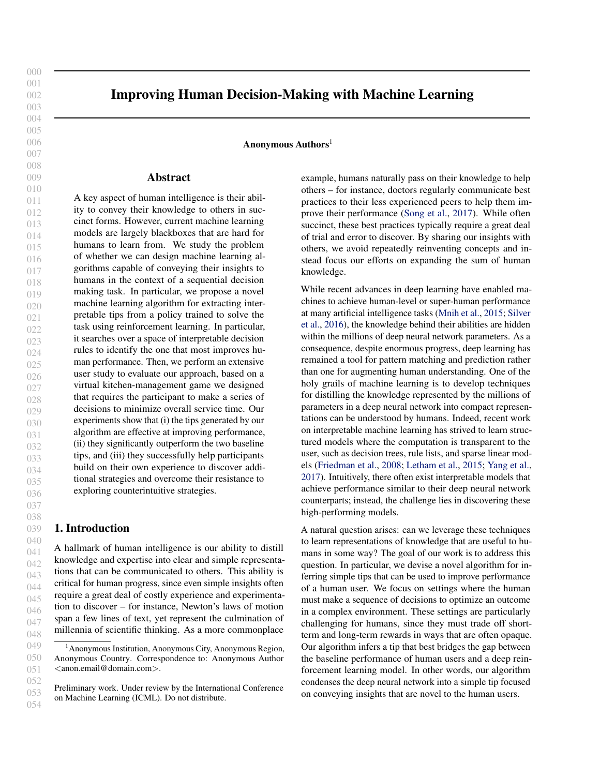#### <span id="page-9-0"></span>495 A. Details on Tip Inference Algorithm

#### 496 497 A.1. MDP Formulation and Search Space of Tips

498 499 500 501 502 503 504 505 506 507 508 509 510 511 512 At a high level, the states encode the progress towards completing all the food orders, the actions encode the available assignments of subtasks to workers, and the rewards encode the number of ticks the user takes to complete all the orders. More specifically, the states encode the following information: (i) in all the orders, which subtasks have been completed so far, and (ii) which subtask has been assigned to each virtual worker (if any), and how many steps remain for the virtual worker to complete that subtask. Next, the actions consist of all possible assignments of available subtasks to available virtual workers. Finally, the reward is 1 at each step, until all orders are completed—thus, the total number of steps taken to complete all orders is the negative reward.

513 514 515 516 517 518 519 520 521 522 523 524 525 526 527 528 529 Next, we describe the search space of tips that are considered by our algorithm. Each tip is actually composed of a set of rules inferred by our algorithm. Recall that our algorithm considers tips in the form of an if-then-else statement that says to take a certain action in a certain state. One challenge is the combinatorial nature of our action space—there can be as many as  $\frac{k!}{(k \mod n)!}$  actions, where *m* is the number of workers and  $k = \int_{j=1}^{n} k_j$  is the total number of subtasks. The large number of actions can make the tips very specific—e.g., simultaneously assigning three distinct subtasks to three of the virtual workers. Instead, we decompose the action space and consider assigning a single subtask to a single virtual worker. To be precise, we include three features in the predicate  $\therefore$  (i) the subtask being considered, (ii) the order to which the subtask belongs, and (iii) the virtual worker in consideration. Then, our algorithm considers tips of the form

> if (order =  $\circ$   $\land$  subtask =  $\circ$   $\land$  virtual worker = w) then (assign  $(o, s)$  to  $w$ );

where  $\theta$  is an order,  $\theta$  is a subtask, and  $W$  is a virtual worker.

535 536 537 538 539 540 541 542 543 544 545 Even with this action decomposition, we found that these tips are still too challenging for human users to internalize since the tips are very specific. Instead, we post-process the tips inferred by our algorithm by aggregating over tuples  $(o, s, w)$  that have the same s and w—e.g., in Figure [7,](#page-10-0) instead of considering two separate tips shown at the top, we merge them into the tip shown at the bottom. $2$  In other words, a tip is a combination of tips  $=$   $\begin{pmatrix} 1, & \cdots & k \end{pmatrix}$ . The score that we assign to such a tip is  $J( ) = \int_{i=1}^{R} J( )i$ . Then, we choose the tip that achieves the highest score.

### A.2. Algorithm Implementation

In principle, we could use dynamic programming to solve for the optimal value function  $V$ , and then compute the optimal Q-function based on V . However, while our state space is finite, it is still too large for dynamic programming to be tractable. Instead, we use the policy gradient algorithm (which is widely used for model-free reinforcement learning) as a heuristic to learn an expert policy for our MDP (Sutton et al., 2000).

At a high level, the policy gradient algorithm searches over a family of policies parametrized by 2  $d$ ; typically, is a deep neural network, and is the corresponding vector of neural network parameters. This approach requires featurizing the states in the MDP—i.e., constructing a feature mapping  $\therefore S \neq \theta$ ; 1 $\theta^d$ . Then, the neural network policy takes as input the featurized state  $(s)$ , and outputs an action  $( (s)) 2A$  to take in state s.<sup>3</sup> Then, the policy gradient algorithm performs stochastic gradient descent on the objective  $J($ ), and outputs the best policy . In general,  $J( )$  is nonconvex so this algorithm is susceptible to local minima, but it is well known that it performs exceptionally well in practice.

In our implementation, the state features include the availability of each sub-task (for each order), the current status of each worker, and the time index. We take to be a neural network with 50 hidden units; to optimize  $J($ ), we take 10,000 stochastic gradient steps with a learning rate of 0:001. In addition, since our MDP has finite horizon, we use a discount factor of  $= 1$ .

Once we have computed , we use supervised learning to learn an estimate  $\hat{Q}$  of the optimal policy's  $Q$ -function  $Q^{(-)}$ ; specifically, we choose  $\hat{Q}$  to be a random forest (Breiman, 2001). The random forest operates over the same featurized states as the neural network policy—i.e., it has the form  $\hat{Q}(\zeta; a) = Q^{(-)}(s; a)$ .

Finally, we apply our algorithm to inferring tips on stateaction pairs collected from observing human users playing our game. Because our goal is to help human users improve, we restrict our data to the bottom 25% of human users in terms of performance. In addition, we apply two additional post-processing steps to the set of candidate tips. First, we eliminate tips that apply in less than 10% of the states occurring in the human trace data—i.e., the predicate

 $(s) = 1$ . This step eliminates high-variance tips that have large benefits, but are useful only a small fraction of the time. Second, we eliminate tips that, when they apply, disagree with the expert policy more than 50% of the time—i.e., for a tip  $(z, a)$ ,  $(s) = 1$  and  $a \neq (s)$ . This step eliminates

<sup>546</sup> 547 548 549 <sup>2</sup>We experimented with *combinations* of tips in exploratory pilots, and found that AMT workers were unable to operationalize and comply with such complex tips even though they might be part of an optimal strategy.

<sup>&</sup>lt;sup>3</sup>To be precise,  $\pi_*(\phi(s))$  outputs a probability  $\pi_*(a | \phi(s))$ for each action  $a \in A$  of taking a in state s. We take the action a with the highest probability.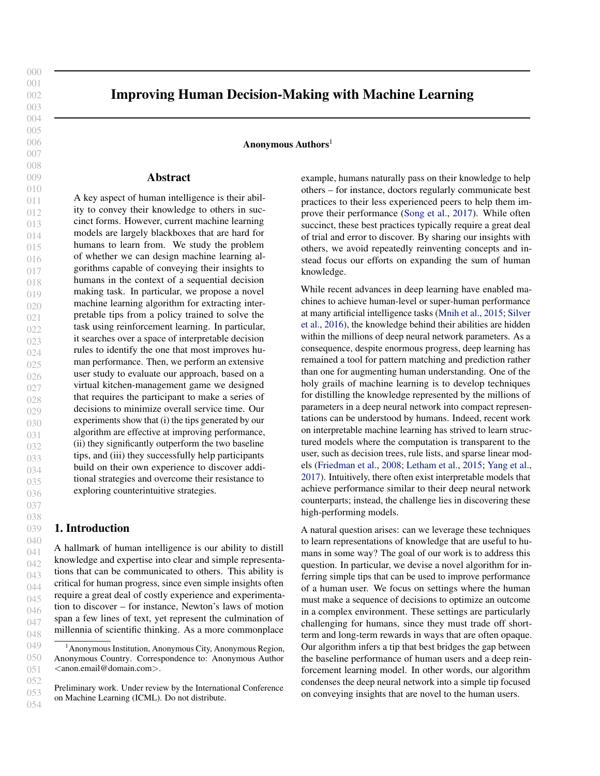600 601

<span id="page-10-0"></span>550

| if (order = burger <sub>1</sub> $\land$ subtask = cooking $\land$ virtual worker = chef) then (assign (burger <sub>1</sub> /cooking) to chef) |
|-----------------------------------------------------------------------------------------------------------------------------------------------|
| if (order = burger <sub>2</sub> $\land$ subtask = cooking $\land$ virtual worker = chef) then (assign (burger <sub>2</sub> /cooking) to chef) |
| $\frac{merge}{l}$ assign cooking to chef 2 times                                                                                              |

Figure 7: Merging similar tips to improve interpretability.

tips that have large benefits on average, but sometimes offer incorrect advice that can confuse the human user (or cause them to distrust our tips).

# B. Details on the Experiment

### B.1. Experimental Design

Recall that our tip inference algorithm requires data on the human performance so it can focus on conveying information not already known by the humans. Thus, our behavioral experiment proceeds in two phases. First, we collect data on the actions taken by humans participants when they are not provided with any tips, and use our algorithm in conjunction with this data to infer tips. Second, we evaluate whether providing these tips can improve the performance of subsequent human participants, compared both to a control group of participants who are not provided with any tips as well as two additional groups of participants who are each provided with one of our two baseline tips.

580 583 586 588 590 591 592 593 594 595 596 597 598 599 We evaluate our algorithm based on two different configurations of our game, which are designed to evaluate different conditions under which tips might be useful. First, the *normal configuration* consists of a single scenario, the *fullystaffed scenario*, throughout the study. Thus, our goal is to infer tips that help human participants fine-tune their performance at this scenario. The second, *disrupted configuration* starts with the fully-staffed scenario, but then switches to the *understaffed scenario*. Intuitively, we expect human participants to acclimate to the fully-staffed scenario; thus, they may have difficulty adapting to the understaffed scenario where the high-level strategy is very different. Thus, our goal is to infer tips that convey shifts in strategy that are needed to perform well in the new scenario. For a fixed configuration, we additionally vary the tip that is shown to each participant, including no tip (i.e., the control group), our tip, a baseline tip from the naïve algorithm, and a human suggested tip. Our goal is to understand how the choice of tip affects the performance of the human users in the context of that configuration.

### B.2. Experimental Procedure

602 603 604 We perform separate experiments for each configuration of our game. The high-level structure of our experimental de-

sign for each configuration is the same; they differ in terms of when we show tips to the participant and which tips we show. For each configuration, our experiment proceeds in two phases. Before starting our game, each participant is shown a set of game instructions and comprehension checks; then, they play a practice scenario twice (with an option to skip the second one). $4$  Each participant receives a participation fee of \$0.10 for each round they completed. We also provide a bonus based on their performance, measured by the number of steps taken to complete each round. The bonus ranges from \$0.15 to \$0.75 per round. Participants provided informed consent, and the Institutional Review Board of the University of Pennsylvania approved all materials and procedures in our studies.

Phase I. For each configuration, we recruit 200 participants via Amazon Mechanical Turk to play the game. The study flow is illustrated in Figure [8.](#page-11-0) At the end of all rounds of play, we give users a post-game survey where we ask several questions regarding their experience with the game. Additionally, we ask the participants to suggest a tip for future players. In particular, we show each participant a comprehensive list of candidate tips and ask them to select the one they believe would most improve the performance of future players. This list of tips is constructed by merging three types of tips: (i) all possible tips of the format described in [A.1](#page-9-0) (e.g., "Chef shouldn't plate."), (ii) generic tips that arise frequently in our exploratory user studies (e.g., "Keep everyone busy at all time."), (iii) a small number of manually constructed tips obtained by studying the optimal policy (e.g., "Chef should chop as long as there is no cooking task"). Importantly, this list always contains the top tip inferred using our algorithm.

Next, we use the data from the final round played by the participants to infer tips in three ways. First, we train our tip inference algorithm described in [A.2](#page-9-0) on the experimental data. Second, we implement the naïve algorithm, which directly tries to imitate the optimal policy based on the frequency of state-action pairs observed in the experimental data. Finally, we analyze the post-game survey and rank

<sup>&</sup>lt;sup>4</sup>The practice scenario is meant to familiarize participants with the game mechanics and the user interface. In this scenario, they manage three identical chefs to make a single, simple food order. This food order is significantly different than the burger order used in the main game.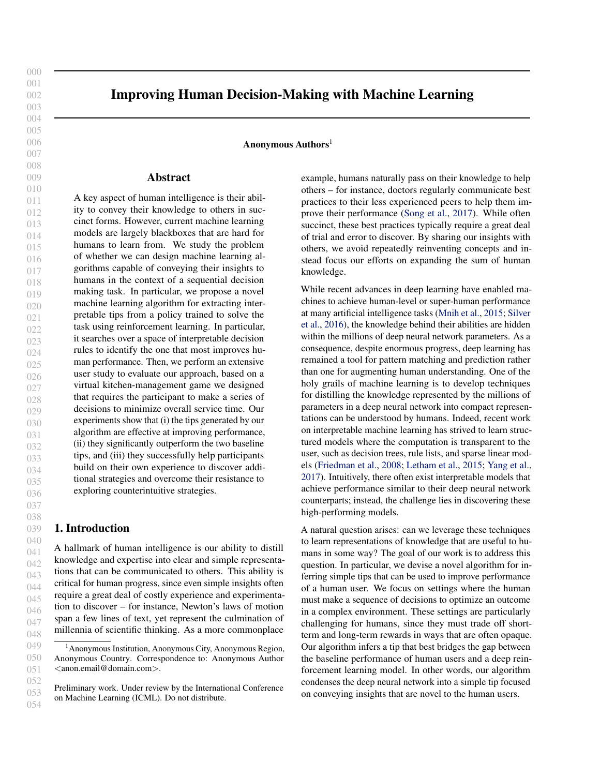<span id="page-11-0"></span>

Improving Human Decision-Making with Machine Learning

Figure 8: Study flow for Phase I.

the candidate tips based on the number of votes by the participants.

Inferred tips. For the normal configuration, 183 participants<sup>5</sup> successfully completed the game. The top three tips inferred from each of the sources are reported in Table [1.](#page-12-0) For the algorithm tip, "Chef should never plate" is selected as it is expected to be the most effective at shortening completion time  $(2.43$  steps). For the baseline tip, our naïve algorithm selects "Chef should chop once" as it is the most frequently observed state-action pair in the data. Finally, for the human tip, "Strategically leave some workers idle" received the most votes among the participants (28.42%). It is worth noting that all of the tips most voted by past players are in line with the optimal strategy. The first tip captures the key strategy that some virtual workers should be left idle rather than assigned to a time-consuming task. However, it is less specific than other tips. The second and third tips reflect the information participants could learn from assigning different tasks to different workers during the game: server spends the most time cooking while chef spends the most time plating.

For the disrupted configuration, 172 participants<sup>6</sup> successfully completed the game. Table [2](#page-12-0) reports the top three tips inferred from each of the sources. The best algorithm tip is "Server should cook twice" with the expected completion time reduction of 2.32 steps. Interestingly, only the first and third tips are in line with the optimal policy. The second tip is slightly off as in the optimal policy sous-chef and server should each plate twice. For the baseline arm, all three tips are in line with the optimal policy, and the naïve algorithm chooses "Sous-chef should plate twice". Finally, for the human tip, "Server should cook once" or "Sous-chef should cook three times" got the most votes. Unlike in the normal configuration, the top two human tips here are not part of the optimal policy. In the optimal policy, sous-chef and server should each cook twice. The third human tip does align with the optimal policy; however, it is much less specific than the other tips. This highlights the increased difficulty for humans to identify the optimal strategy in the disrupted configuration compared to the normal configuration.

Phase II. We next evaluate the effectiveness of each of the inferred tips. In this phase, participants are randomly assigned to one of four arms, which differ in terms of the

659

<sup>&</sup>lt;sup>5</sup>The average age of the participants is 34.6 years old, 57.38% are female, and 67.73% have at least a two-year degree.

 ${}^{6}$ They are 36.4 years old on average, 61.63% are female, and 77.91% received at least a two-year degree.